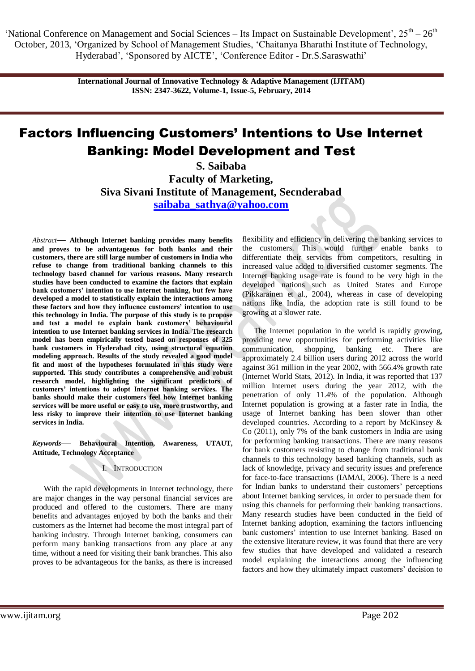> **International Journal of Innovative Technology & Adaptive Management (IJITAM) ISSN: 2347-3622, Volume-1, Issue-5, February, 2014**

# Factors Influencing Customers' Intentions to Use Internet Banking: Model Development and Test

**S. Saibaba Faculty of Marketing, Siva Sivani Institute of Management, Secnderabad [saibaba\\_sathya@yahoo.com](mailto:saibaba_sathya@yahoo.com)**

*Abstract***— Although Internet banking provides many benefits and proves to be advantageous for both banks and their customers, there are still large number of customers in India who refuse to change from traditional banking channels to this technology based channel for various reasons. Many research studies have been conducted to examine the factors that explain bank customers' intention to use Internet banking, but few have developed a model to statistically explain the interactions among these factors and how they influence customers' intention to use this technology in India. The purpose of this study is to propose and test a model to explain bank customers' behavioural intention to use Internet banking services in India. The research model has been empirically tested based on responses of 325 bank customers in Hyderabad city, using structural equation modeling approach. Results of the study revealed a good model fit and most of the hypotheses formulated in this study were supported. This study contributes a comprehensive and robust research model, highlighting the significant predictors of customers' intentions to adopt Internet banking services. The banks should make their customers feel how Internet banking services will be more useful or easy to use, more trustworthy, and less risky to improve their intention to use Internet banking services in India.**

*Keywords*— **Behavioural Intention, Awareness, UTAUT, Attitude, Technology Acceptance**

## I. INTRODUCTION

With the rapid developments in Internet technology, there are major changes in the way personal financial services are produced and offered to the customers. There are many benefits and advantages enjoyed by both the banks and their customers as the Internet had become the most integral part of banking industry. Through Internet banking, consumers can perform many banking transactions from any place at any time, without a need for visiting their bank branches. This also proves to be advantageous for the banks, as there is increased

flexibility and efficiency in delivering the banking services to the customers. This would further enable banks to differentiate their services from competitors, resulting in increased value added to diversified customer segments. The Internet banking usage rate is found to be very high in the developed nations such as United States and Europe (Pikkarainen et al., 2004), whereas in case of developing nations like India, the adoption rate is still found to be growing at a slower rate.

The Internet population in the world is rapidly growing, providing new opportunities for performing activities like communication, shopping, banking etc. There are approximately 2.4 billion users during 2012 across the world against 361 million in the year 2002, with 566.4% growth rate (Internet World Stats, 2012). In India, it was reported that 137 million Internet users during the year 2012, with the penetration of only 11.4% of the population. Although Internet population is growing at a faster rate in India, the usage of Internet banking has been slower than other developed countries. According to a report by McKinsey & Co (2011), only 7% of the bank customers in India are using for performing banking transactions. There are many reasons for bank customers resisting to change from traditional bank channels to this technology based banking channels, such as lack of knowledge, privacy and security issues and preference for face-to-face transactions (IAMAI, 2006). There is a need for Indian banks to understand their customers' perceptions about Internet banking services, in order to persuade them for using this channels for performing their banking transactions. Many research studies have been conducted in the field of Internet banking adoption, examining the factors influencing bank customers' intention to use Internet banking. Based on the extensive literature review, it was found that there are very few studies that have developed and validated a research model explaining the interactions among the influencing factors and how they ultimately impact customers' decision to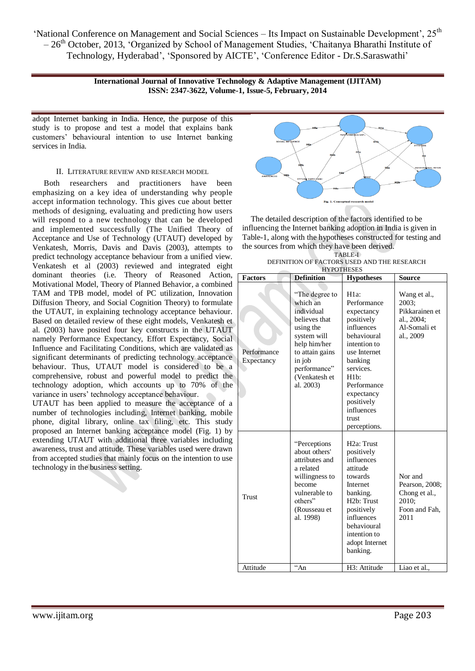> **International Journal of Innovative Technology & Adaptive Management (IJITAM) ISSN: 2347-3622, Volume-1, Issue-5, February, 2014**

adopt Internet banking in India. Hence, the purpose of this study is to propose and test a model that explains bank customers' behavioural intention to use Internet banking services in India.

### II. LITERATURE REVIEW AND RESEARCH MODEL

Both researchers and practitioners have been emphasizing on a key idea of understanding why people accept information technology. This gives cue about better methods of designing, evaluating and predicting how users will respond to a new technology that can be developed and implemented successfully (The Unified Theory of Acceptance and Use of Technology (UTAUT) developed by Venkatesh, Morris, Davis and Davis (2003), attempts to predict technology acceptance behaviour from a unified view. Venkatesh et al (2003) reviewed and integrated eight dominant theories (i.e. Theory of Reasoned Action, Motivational Model, Theory of Planned Behavior, a combined TAM and TPB model, model of PC utilization, Innovation Diffusion Theory, and Social Cognition Theory) to formulate the UTAUT, in explaining technology acceptance behaviour. Based on detailed review of these eight models, Venkatesh et al. (2003) have posited four key constructs in the UTAUT namely Performance Expectancy, Effort Expectancy, Social Influence and Facilitating Conditions, which are validated as significant determinants of predicting technology acceptance behaviour. Thus, UTAUT model is considered to be a comprehensive, robust and powerful model to predict the technology adoption, which accounts up to 70% of the variance in users' technology acceptance behaviour.

UTAUT has been applied to measure the acceptance of a number of technologies including, Internet banking, mobile phone, digital library, online tax filing, etc. This study proposed an Internet banking acceptance model (Fig. 1) by extending UTAUT with additional three variables including awareness, trust and attitude. These variables used were drawn from accepted studies that mainly focus on the intention to use technology in the business setting.



The detailed description of the factors identified to be influencing the Internet banking adoption in India is given in Table-1, along with the hypotheses constructed for testing and the sources from which they have been derived.

| TABLE-I                                     |
|---------------------------------------------|
| DEFINITION OF FACTORS USED AND THE RESEARCH |
| <b>HYPOTHESES</b>                           |

| <b>HYPOTHESES</b>         |                                                                                                                                                                                  |                                                                                                                                                                                                                                   |                                                                                    |  |  |  |  |
|---------------------------|----------------------------------------------------------------------------------------------------------------------------------------------------------------------------------|-----------------------------------------------------------------------------------------------------------------------------------------------------------------------------------------------------------------------------------|------------------------------------------------------------------------------------|--|--|--|--|
| <b>Factors</b>            | <b>Definition</b>                                                                                                                                                                | <b>Hypotheses</b>                                                                                                                                                                                                                 | <b>Source</b>                                                                      |  |  |  |  |
| Performance<br>Expectancy | "The degree to<br>which an<br>individual<br>believes that<br>using the<br>system will<br>help him/her<br>to attain gains<br>in job<br>performance"<br>(Venkatesh et<br>al. 2003) | $H1a$ :<br>Performance<br>expectancy<br>positively<br>influences<br>behavioural<br>intention to<br>use Internet<br>banking<br>services.<br>H1b:<br>Performance<br>expectancy<br>positively<br>influences<br>trust<br>perceptions. | Wang et al.,<br>2003:<br>Pikkarainen et<br>al., 2004:<br>Al-Somali et<br>al., 2009 |  |  |  |  |
| Trust                     | "Perceptions"<br>about others'<br>attributes and<br>a related<br>willingness to<br>become<br>vulnerable to<br>others"<br>(Rousseau et<br>al. 1998)                               | H <sub>2a</sub> : Trust<br>positively<br>influences<br>attitude<br>towards<br>Internet<br>banking.<br>H <sub>2</sub> b: Trust<br>positively<br>influences<br>behavioural<br>intention to<br>adopt Internet<br>banking.            | Nor and<br>Pearson, 2008;<br>Chong et al.,<br>2010;<br>Foon and Fah.<br>2011       |  |  |  |  |
| Attitude                  | $\alpha$ An                                                                                                                                                                      | H3: Attitude                                                                                                                                                                                                                      | Liao et al.,                                                                       |  |  |  |  |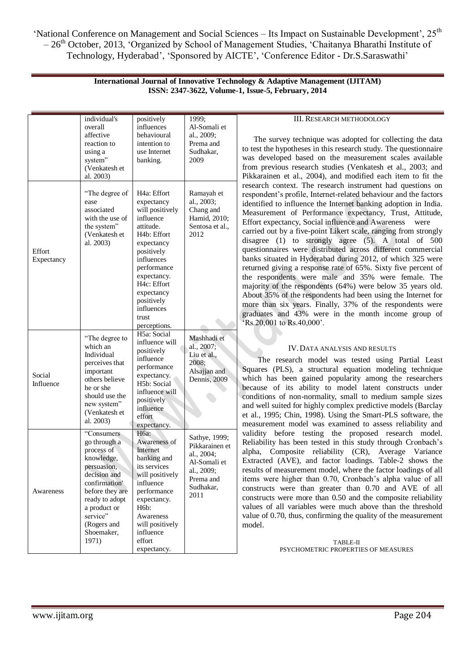| <b>International Journal of Innovative Technology &amp; Adaptive Management (IJITAM)</b> |  |
|------------------------------------------------------------------------------------------|--|
| ISSN: 2347-3622, Volume-1, Issue-5, February, 2014                                       |  |

|                                                                                                                                                                                                                             | individual's<br>overall<br>affective<br>reaction to<br>using a<br>system"<br>(Venkatesh et<br>al. 2003)                                                               | positively<br>influences<br>behavioural<br>intention to<br>use Internet<br>banking.                                                                                                                                                                                                    | 1999:<br>Al-Somali et<br>al., 2009:<br>Prema and<br>Sudhakar,<br>2009                                         |  |
|-----------------------------------------------------------------------------------------------------------------------------------------------------------------------------------------------------------------------------|-----------------------------------------------------------------------------------------------------------------------------------------------------------------------|----------------------------------------------------------------------------------------------------------------------------------------------------------------------------------------------------------------------------------------------------------------------------------------|---------------------------------------------------------------------------------------------------------------|--|
| Effort<br>Expectancy                                                                                                                                                                                                        | "The degree of<br>ease<br>associated<br>with the use of<br>the system"<br>(Venkatesh et<br>al. 2003)                                                                  | H <sub>4a</sub> : Effort<br>expectancy<br>will positively<br>influence<br>attitude.<br>H <sub>4</sub> b: Effort<br>expectancy<br>positively<br>influences<br>performance<br>expectancy.<br>H <sub>4c</sub> : Effort<br>expectancy<br>positively<br>influences<br>trust<br>perceptions. | Ramayah et<br>al., 2003;<br>Chang and<br>Hamid, 2010;<br>Sentosa et al.,<br>2012                              |  |
| Social<br>Influence                                                                                                                                                                                                         | "The degree to<br>which an<br>Individual<br>perceives that<br>important<br>others believe<br>he or she<br>should use the<br>new system"<br>(Venkatesh et<br>al. 2003) | H5a: Social<br>influence will<br>positively<br>influence<br>performance<br>expectancy.<br>H5b: Social<br>influence will<br>positively<br>influence<br>effort<br>expectancy.                                                                                                            | Mashhadi et<br>al., 2007;<br>Liu et al.,<br>2008:<br>Alsajjan and<br>Dennis, 2009                             |  |
| "Consumers"<br>go through a<br>process of<br>knowledge,<br>persuasion,<br>decision and<br>confirmation'<br>before they are<br>Awareness<br>ready to adopt<br>a product or<br>service"<br>(Rogers and<br>Shoemaker,<br>1971) |                                                                                                                                                                       | H6a:<br>Awareness of<br>Internet<br>banking and<br>its services<br>will positively<br>influence<br>performance<br>expectancy.<br>H6b:<br>Awareness<br>will positively<br>influence<br>effort<br>expectancy.                                                                            | Sathye, 1999;<br>Pikkarainen et<br>al., 2004;<br>Al-Somali et<br>al., 2009;<br>Prema and<br>Sudhakar,<br>2011 |  |

#### III. RESEARCH METHODOLOGY

The survey technique was adopted for collecting the data to test the hypotheses in this research study. The questionnaire was developed based on the measurement scales available from previous research studies (Venkatesh et al., 2003; and Pikkarainen et al., 2004), and modified each item to fit the research context. The research instrument had questions on respondent's profile, Internet-related behaviour and the factors identified to influence the Internet banking adoption in India. Measurement of Performance expectancy, Trust, Attitude, Effort expectancy, Social influence and Awareness were carried out by a five-point Likert scale, ranging from strongly disagree (1) to strongly agree (5). A total of 500 questionnaires were distributed across different commercial banks situated in Hyderabad during 2012, of which 325 were returned giving a response rate of 65%. Sixty five percent of the respondents were male and 35% were female. The majority of the respondents (64%) were below 35 years old. About 35% of the respondents had been using the Internet for more than six years. Finally, 37% of the respondents were graduates and 43% were in the month income group of ‗Rs.20,001 to Rs.40,000'.

## IV.DATA ANALYSIS AND RESULTS

 The research model was tested using Partial Least Squares (PLS), a structural equation modeling technique which has been gained popularity among the researchers because of its ability to model latent constructs under conditions of non-normality, small to medium sample sizes and well suited for highly complex predictive models (Barclay et al., 1995; Chin, 1998). Using the Smart-PLS software, the measurement model was examined to assess reliability and validity before testing the proposed research model. Reliability has been tested in this study through Cronbach's alpha, Composite reliability (CR), Average Variance Extracted (AVE), and factor loadings. Table-2 shows the results of measurement model, where the factor loadings of all items were higher than 0.70, Cronbach's alpha value of all constructs were than greater than 0.70 and AVE of all constructs were more than 0.50 and the composite reliability values of all variables were much above than the threshold value of 0.70, thus, confirming the quality of the measurement model.

> TABLE-II PSYCHOMETRIC PROPERTIES OF MEASURES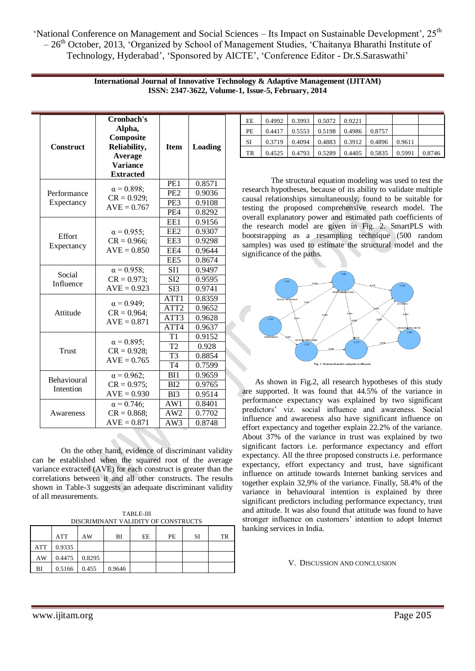| <b>Construct</b> | Cronbach's<br>Alpha,<br>Composite<br>Reliability,<br>Average<br><b>Variance</b><br><b>Extracted</b> | <b>Item</b>      | Loading |
|------------------|-----------------------------------------------------------------------------------------------------|------------------|---------|
|                  |                                                                                                     | PE1              | 0.8571  |
| Performance      | $\alpha = 0.898$ ;<br>$CR = 0.929;$                                                                 | PE <sub>2</sub>  | 0.9036  |
| Expectancy       | $AVE = 0.767$                                                                                       | PE <sub>3</sub>  | 0.9108  |
|                  |                                                                                                     | PE4              | 0.8292  |
|                  |                                                                                                     | EE1              | 0.9156  |
|                  | $\alpha = 0.955$ ;                                                                                  | EE <sub>2</sub>  | 0.9307  |
| Effort           | $CR = 0.966;$                                                                                       | EE3              | 0.9298  |
| Expectancy       | $AVE = 0.850$                                                                                       | EE4              | 0.9644  |
|                  |                                                                                                     | EE <sub>5</sub>  | 0.8674  |
|                  | $\alpha = 0.958$ ;                                                                                  | SI1              | 0.9497  |
| Social           | $CR = 0.973;$                                                                                       | SI2              | 0.9595  |
| Influence        | $AVE = 0.923$                                                                                       | $\overline{SI}3$ | 0.9741  |
|                  |                                                                                                     | ATT1             | 0.8359  |
|                  | $\alpha = 0.949;$                                                                                   | ATT <sub>2</sub> | 0.9652  |
| Attitude         | $CR = 0.964$ ;<br>$AVE = 0.871$                                                                     | ATT3             | 0.9628  |
|                  |                                                                                                     | ATT4             | 0.9637  |
|                  |                                                                                                     | T1               | 0.9152  |
|                  | $\alpha = 0.895$ ;                                                                                  | T <sub>2</sub>   | 0.928   |
| <b>Trust</b>     | $CR = 0.928;$<br>$AVE = 0.765$                                                                      | T <sub>3</sub>   | 0.8854  |
|                  |                                                                                                     | $\overline{T4}$  | 0.7599  |
|                  | $\alpha = 0.962;$                                                                                   | BI1              | 0.9659  |
| Behavioural      | $CR = 0.975;$                                                                                       | BI <sub>2</sub>  | 0.9765  |
| Intention        | $AVE = 0.930$                                                                                       | B <sub>13</sub>  | 0.9514  |
|                  | $\alpha = 0.746$ ;                                                                                  | AW1              | 0.8401  |
| Awareness        | $CR = 0.868;$                                                                                       | AW <sub>2</sub>  | 0.7702  |
|                  | $AVE = 0.871$                                                                                       | AW3              | 0.8748  |

**International Journal of Innovative Technology & Adaptive Management (IJITAM) ISSN: 2347-3622, Volume-1, Issue-5, February, 2014**

On the other hand, evidence of discriminant validity can be established when the squared root of the average variance extracted (AVE) for each construct is greater than the correlations between it and all other constructs. The results shown in Table-3 suggests an adequate discriminant validity of all measurements.

TABLE-III DISCRIMINANT VALIDITY OF CONSTRUCTS

|     | ATT            | AW              | BI     | ЕE | PЕ | SI | TR |
|-----|----------------|-----------------|--------|----|----|----|----|
| ATT | 0.9335         |                 |        |    |    |    |    |
| AW  |                | $0.4475$ 0.8295 |        |    |    |    |    |
| BI  | $0.5166$ 0.455 |                 | 0.9646 |    |    |    |    |

| EE  | 0.4992 | 0.3993 | 0.5072                     | 0.9221 |                   |        |        |
|-----|--------|--------|----------------------------|--------|-------------------|--------|--------|
| PE. | 0.4417 |        | $0.5553$   0.5198   0.4986 |        | 0.8757            |        |        |
| SI  | 0.3719 | 0.4094 | $\mid$ 0.4883   0.3912     |        | 10.4896           | 0.9611 |        |
| TR  | 0.4525 | 0.4793 | 0.5289                     | 0.4405 | $0.5835$   0.5991 |        | 0.8746 |

The structural equation modeling was used to test the research hypotheses, because of its ability to validate multiple causal relationships simultaneously, found to be suitable for testing the proposed comprehensive research model. The overall explanatory power and estimated path coefficients of the research model are given in Fig. 2. SmartPLS with bootstrapping as a resampling technique (500 random samples) was used to estimate the structural model and the significance of the paths.



 As shown in Fig.2, all research hypotheses of this study are supported. It was found that 44.5% of the variance in performance expectancy was explained by two significant predictors' viz. social influence and awareness. Social influence and awareness also have significant influence on effort expectancy and together explain 22.2% of the variance. About 37% of the variance in trust was explained by two significant factors i.e. performance expectancy and effort expectancy. All the three proposed constructs i.e. performance expectancy, effort expectancy and trust, have significant influence on attitude towards Internet banking services and together explain 32,9% of the variance. Finally, 58.4% of the variance in behavioural intention is explained by three significant predictors including performance expectancy, trust and attitude. It was also found that attitude was found to have stronger influence on customers' intention to adopt Internet banking services in India.

V. DISCUSSION AND CONCLUSION